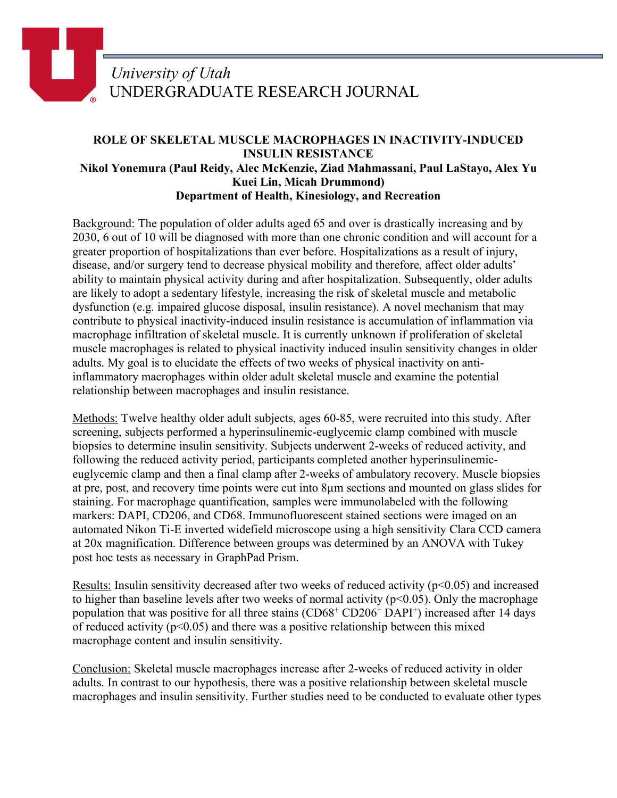## *University of Utah* UNDERGRADUATE RESEARCH JOURNAL

## **ROLE OF SKELETAL MUSCLE MACROPHAGES IN INACTIVITY-INDUCED INSULIN RESISTANCE Nikol Yonemura (Paul Reidy, Alec McKenzie, Ziad Mahmassani, Paul LaStayo, Alex Yu Kuei Lin, Micah Drummond) Department of Health, Kinesiology, and Recreation**

Background: The population of older adults aged 65 and over is drastically increasing and by 2030, 6 out of 10 will be diagnosed with more than one chronic condition and will account for a greater proportion of hospitalizations than ever before. Hospitalizations as a result of injury, disease, and/or surgery tend to decrease physical mobility and therefore, affect older adults' ability to maintain physical activity during and after hospitalization. Subsequently, older adults are likely to adopt a sedentary lifestyle, increasing the risk of skeletal muscle and metabolic dysfunction (e.g. impaired glucose disposal, insulin resistance). A novel mechanism that may contribute to physical inactivity-induced insulin resistance is accumulation of inflammation via macrophage infiltration of skeletal muscle. It is currently unknown if proliferation of skeletal muscle macrophages is related to physical inactivity induced insulin sensitivity changes in older adults. My goal is to elucidate the effects of two weeks of physical inactivity on antiinflammatory macrophages within older adult skeletal muscle and examine the potential relationship between macrophages and insulin resistance.

Methods: Twelve healthy older adult subjects, ages 60-85, were recruited into this study. After screening, subjects performed a hyperinsulinemic-euglycemic clamp combined with muscle biopsies to determine insulin sensitivity. Subjects underwent 2-weeks of reduced activity, and following the reduced activity period, participants completed another hyperinsulinemiceuglycemic clamp and then a final clamp after 2-weeks of ambulatory recovery. Muscle biopsies at pre, post, and recovery time points were cut into 8µm sections and mounted on glass slides for staining. For macrophage quantification, samples were immunolabeled with the following markers: DAPI, CD206, and CD68. Immunofluorescent stained sections were imaged on an automated Nikon Ti-E inverted widefield microscope using a high sensitivity Clara CCD camera at 20x magnification. Difference between groups was determined by an ANOVA with Tukey post hoc tests as necessary in GraphPad Prism.

Results: Insulin sensitivity decreased after two weeks of reduced activity ( $p<0.05$ ) and increased to higher than baseline levels after two weeks of normal activity ( $p<0.05$ ). Only the macrophage population that was positive for all three stains (CD68<sup>+</sup> CD206<sup>+</sup> DAPI<sup>+</sup>) increased after 14 days of reduced activity ( $p<0.05$ ) and there was a positive relationship between this mixed macrophage content and insulin sensitivity.

Conclusion: Skeletal muscle macrophages increase after 2-weeks of reduced activity in older adults. In contrast to our hypothesis, there was a positive relationship between skeletal muscle macrophages and insulin sensitivity. Further studies need to be conducted to evaluate other types